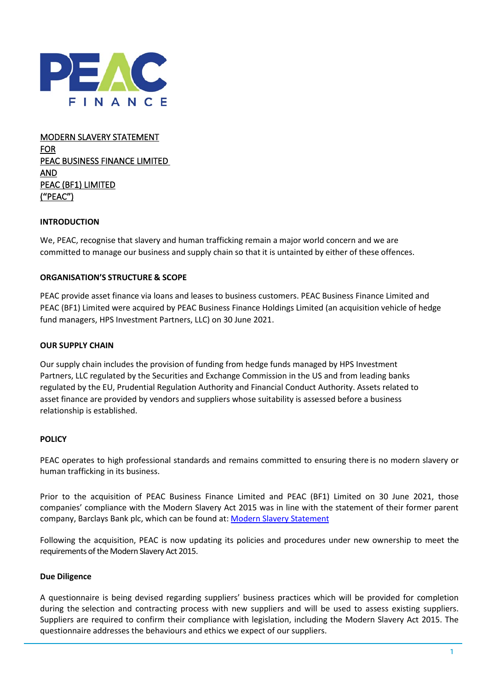

MODERN SLAVERY STATEMENT FOR PEAC BUSINESS FINANCE LIMITED AND PEAC (BF1) LIMITED (**"**PEAC**"**)

## **INTRODUCTION**

We, PEAC, recognise that slavery and human trafficking remain a major world concern and we are committed to manage our business and supply chain so that it is untainted by either of these offences.

### **ORGANISATION'S STRUCTURE & SCOPE**

PEAC provide asset finance via loans and leases to business customers. PEAC Business Finance Limited and PEAC (BF1) Limited were acquired by PEAC Business Finance Holdings Limited (an acquisition vehicle of hedge fund managers, HPS Investment Partners, LLC) on 30 June 2021.

#### **OUR SUPPLY CHAIN**

Our supply chain includes the provision of funding from hedge funds managed by HPS Investment Partners, LLC regulated by the Securities and Exchange Commission in the US and from leading banks regulated by the EU, Prudential Regulation Authority and Financial Conduct Authority. Assets related to asset finance are provided by vendors and suppliers whose suitability is assessed before a business relationship is established.

#### **POLICY**

PEAC operates to high professional standards and remains committed to ensuring there is no modern slavery or human trafficking in its business.

Prior to the acquisition of PEAC Business Finance Limited and PEAC (BF1) Limited on 30 June 2021, those companies' compliance with the Modern Slavery Act 2015 was in line with the statement of their former parent company, Barclays Bank plc, which can be found at: [Modern Slavery Statement](https://home.barclays/content/dam/home-barclays/documents/investor-relations/reports-and-events/annual-reports/2020/Barclays-Group-Modern-Slavery-Statement-FY2020.pdf)

Following the acquisition, PEAC is now updating its policies and procedures under new ownership to meet the requirements of the Modern Slavery Act 2015.

#### **Due Diligence**

A questionnaire is being devised regarding suppliers' business practices which will be provided for completion during the selection and contracting process with new suppliers and will be used to assess existing suppliers. Suppliers are required to confirm their compliance with legislation, including the Modern Slavery Act 2015. The questionnaire addresses the behaviours and ethics we expect of our suppliers.